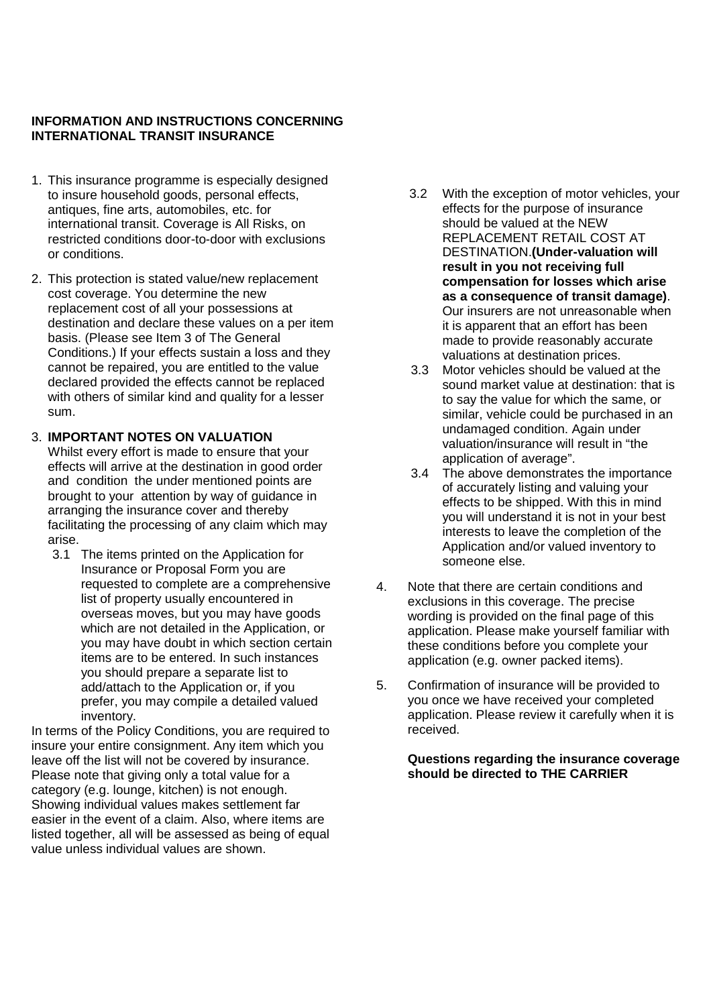# **INFORMATION AND INSTRUCTIONS CONCERNING INTERNATIONAL TRANSIT INSURANCE**

- 1. This insurance programme is especially designed to insure household goods, personal effects, antiques, fine arts, automobiles, etc. for international transit. Coverage is All Risks, on restricted conditions door-to-door with exclusions or conditions.
- 2. This protection is stated value/new replacement cost coverage. You determine the new replacement cost of all your possessions at destination and declare these values on a per item basis. (Please see Item 3 of The General Conditions.) If your effects sustain a loss and they cannot be repaired, you are entitled to the value declared provided the effects cannot be replaced with others of similar kind and quality for a lesser sum.

## 3. **IMPORTANT NOTES ON VALUATION**

Whilst every effort is made to ensure that your effects will arrive at the destination in good order and condition the under mentioned points are brought to your attention by way of guidance in arranging the insurance cover and thereby facilitating the processing of any claim which may arise.

 3.1 The items printed on the Application for Insurance or Proposal Form you are requested to complete are a comprehensive list of property usually encountered in overseas moves, but you may have goods which are not detailed in the Application, or you may have doubt in which section certain items are to be entered. In such instances you should prepare a separate list to add/attach to the Application or, if you prefer, you may compile a detailed valued inventory.

In terms of the Policy Conditions, you are required to insure your entire consignment. Any item which you leave off the list will not be covered by insurance. Please note that giving only a total value for a category (e.g. lounge, kitchen) is not enough. Showing individual values makes settlement far easier in the event of a claim. Also, where items are listed together, all will be assessed as being of equal value unless individual values are shown.

- 3.2 With the exception of motor vehicles, your effects for the purpose of insurance should be valued at the NEW REPLACEMENT RETAIL COST AT DESTINATION.**(Under-valuation will result in you not receiving full compensation for losses which arise as a consequence of transit damage)**. Our insurers are not unreasonable when it is apparent that an effort has been made to provide reasonably accurate valuations at destination prices.
- 3.3 Motor vehicles should be valued at the sound market value at destination: that is to say the value for which the same, or similar, vehicle could be purchased in an undamaged condition. Again under valuation/insurance will result in "the application of average".
- 3.4 The above demonstrates the importance of accurately listing and valuing your effects to be shipped. With this in mind you will understand it is not in your best interests to leave the completion of the Application and/or valued inventory to someone else.
- 4. Note that there are certain conditions and exclusions in this coverage. The precise wording is provided on the final page of this application. Please make yourself familiar with these conditions before you complete your application (e.g. owner packed items).
- 5. Confirmation of insurance will be provided to you once we have received your completed application. Please review it carefully when it is received.

**Questions regarding the insurance coverage should be directed to THE CARRIER**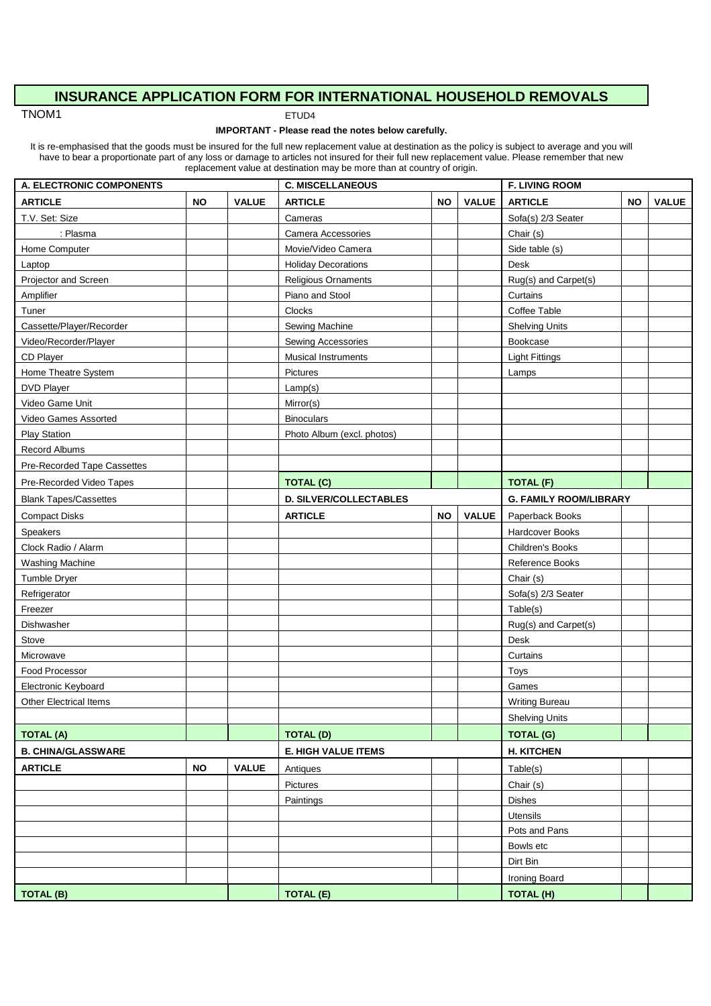# **INSURANCE APPLICATION FORM FOR INTERNATIONAL HOUSEHOLD REMOVALS**

TNOM1 ETUD4

#### **IMPORTANT - Please read the notes below carefully.**

It is re-emphasised that the goods must be insured for the full new replacement value at destination as the policy is subject to average and you will have to bear a proportionate part of any loss or damage to articles not insured for their full new replacement value. Please remember that new replacement value at destination may be more than at country of origin.

| A. ELECTRONIC COMPONENTS      |           | <b>C. MISCELLANEOUS</b>    |                               |           | <b>F. LIVING ROOM</b> |                               |           |              |
|-------------------------------|-----------|----------------------------|-------------------------------|-----------|-----------------------|-------------------------------|-----------|--------------|
| <b>ARTICLE</b>                | <b>NO</b> | <b>VALUE</b>               | <b>ARTICLE</b>                | <b>NO</b> | <b>VALUE</b>          | <b>ARTICLE</b>                | <b>NO</b> | <b>VALUE</b> |
| T.V. Set: Size                |           |                            | Cameras                       |           |                       | Sofa(s) 2/3 Seater            |           |              |
| : Plasma                      |           |                            | Camera Accessories            |           |                       | Chair (s)                     |           |              |
| Home Computer                 |           |                            | Movie/Video Camera            |           |                       | Side table (s)                |           |              |
| Laptop                        |           |                            | <b>Holiday Decorations</b>    |           |                       | Desk                          |           |              |
| Projector and Screen          |           |                            | Religious Ornaments           |           |                       | Rug(s) and Carpet(s)          |           |              |
| Amplifier                     |           |                            | Piano and Stool               |           |                       | Curtains                      |           |              |
| Tuner                         |           |                            | Clocks                        |           |                       | Coffee Table                  |           |              |
| Cassette/Player/Recorder      |           |                            | Sewing Machine                |           |                       | <b>Shelving Units</b>         |           |              |
| Video/Recorder/Player         |           |                            | Sewing Accessories            |           |                       | Bookcase                      |           |              |
| CD Player                     |           |                            | <b>Musical Instruments</b>    |           |                       | <b>Light Fittings</b>         |           |              |
| Home Theatre System           |           |                            | Pictures                      |           |                       | Lamps                         |           |              |
| DVD Player                    |           |                            | Lamp(s)                       |           |                       |                               |           |              |
| Video Game Unit               |           |                            | Mirror(s)                     |           |                       |                               |           |              |
| Video Games Assorted          |           |                            | <b>Binoculars</b>             |           |                       |                               |           |              |
| <b>Play Station</b>           |           |                            | Photo Album (excl. photos)    |           |                       |                               |           |              |
| <b>Record Albums</b>          |           |                            |                               |           |                       |                               |           |              |
| Pre-Recorded Tape Cassettes   |           |                            |                               |           |                       |                               |           |              |
| Pre-Recorded Video Tapes      |           |                            | <b>TOTAL (C)</b>              |           |                       | <b>TOTAL (F)</b>              |           |              |
| <b>Blank Tapes/Cassettes</b>  |           |                            | <b>D. SILVER/COLLECTABLES</b> |           |                       | <b>G. FAMILY ROOM/LIBRARY</b> |           |              |
| <b>Compact Disks</b>          |           |                            | <b>ARTICLE</b>                | <b>NO</b> | <b>VALUE</b>          | Paperback Books               |           |              |
| Speakers                      |           |                            |                               |           |                       | Hardcover Books               |           |              |
| Clock Radio / Alarm           |           |                            |                               |           |                       | Children's Books              |           |              |
| Washing Machine               |           |                            |                               |           |                       | Reference Books               |           |              |
| Tumble Dryer                  |           |                            |                               |           |                       | Chair (s)                     |           |              |
| Refrigerator                  |           |                            |                               |           |                       | Sofa(s) 2/3 Seater            |           |              |
| Freezer                       |           |                            |                               |           |                       | Table(s)                      |           |              |
| Dishwasher                    |           |                            |                               |           |                       | Rug(s) and Carpet(s)          |           |              |
| Stove                         |           |                            |                               |           |                       | Desk                          |           |              |
| Microwave                     |           |                            |                               |           |                       | Curtains                      |           |              |
| Food Processor                |           |                            |                               |           |                       | Toys                          |           |              |
| Electronic Keyboard           |           |                            |                               |           |                       | Games                         |           |              |
| <b>Other Electrical Items</b> |           |                            |                               |           |                       | <b>Writing Bureau</b>         |           |              |
|                               |           |                            |                               |           |                       | <b>Shelving Units</b>         |           |              |
| <b>TOTAL (A)</b>              |           |                            | <b>TOTAL (D)</b>              |           |                       | <b>TOTAL (G)</b>              |           |              |
| <b>B. CHINA/GLASSWARE</b>     |           | <b>E. HIGH VALUE ITEMS</b> |                               |           | <b>H. KITCHEN</b>     |                               |           |              |
| <b>ARTICLE</b>                | <b>NO</b> | <b>VALUE</b>               | Antiques                      |           |                       | Table(s)                      |           |              |
|                               |           |                            | Pictures                      |           |                       | Chair (s)                     |           |              |
|                               |           |                            | Paintings                     |           |                       | Dishes                        |           |              |
|                               |           |                            |                               |           |                       | Utensils                      |           |              |
|                               |           |                            |                               |           |                       | Pots and Pans                 |           |              |
|                               |           |                            |                               |           |                       | Bowls etc                     |           |              |
|                               |           |                            |                               |           |                       | Dirt Bin                      |           |              |
|                               |           |                            |                               |           |                       | Ironing Board                 |           |              |
| TOTAL (B)                     |           |                            | TOTAL (E)                     |           |                       | TOTAL (H)                     |           |              |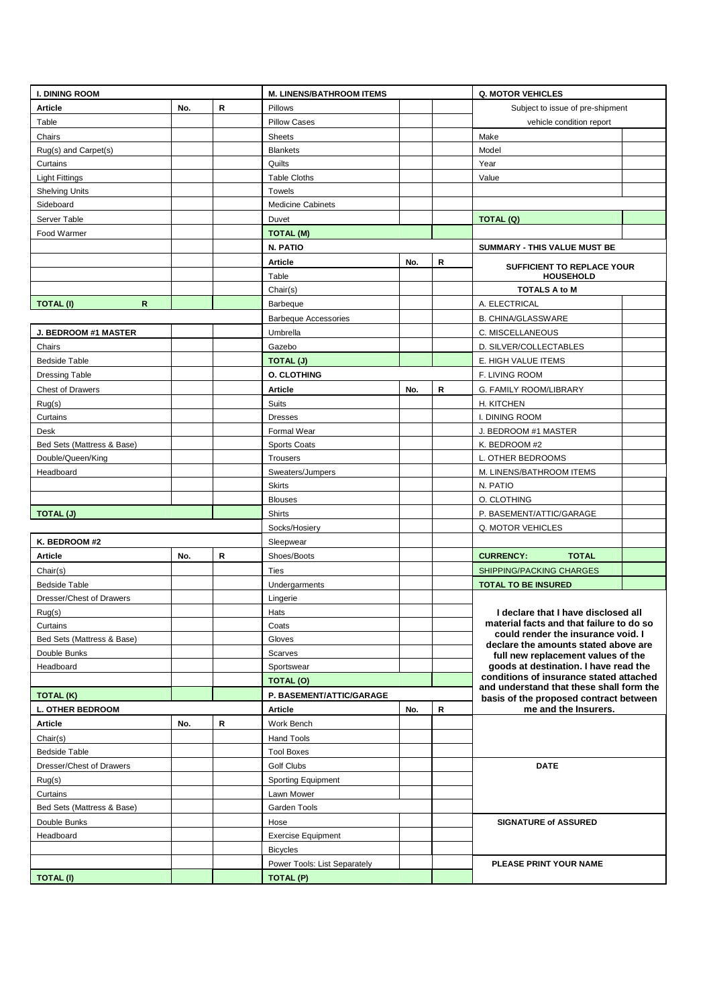| <b>I. DINING ROOM</b>            |     |             | <b>M. LINENS/BATHROOM ITEMS</b> |     |                                          | <b>Q. MOTOR VEHICLES</b>                                                         |  |
|----------------------------------|-----|-------------|---------------------------------|-----|------------------------------------------|----------------------------------------------------------------------------------|--|
| <b>Article</b>                   | No. | $\mathsf R$ | Pillows                         |     |                                          | Subject to issue of pre-shipment                                                 |  |
| Table                            |     |             | <b>Pillow Cases</b>             |     |                                          | vehicle condition report                                                         |  |
| Chairs                           |     |             | <b>Sheets</b>                   |     |                                          | Make                                                                             |  |
| Rug(s) and Carpet(s)             |     |             | <b>Blankets</b>                 |     |                                          | Model                                                                            |  |
| Curtains                         |     |             | Quilts                          |     |                                          | Year                                                                             |  |
| <b>Light Fittings</b>            |     |             | <b>Table Cloths</b>             |     |                                          | Value                                                                            |  |
| <b>Shelving Units</b>            |     |             | Towels                          |     |                                          |                                                                                  |  |
| Sideboard                        |     |             | <b>Medicine Cabinets</b>        |     |                                          |                                                                                  |  |
| Server Table                     |     |             | Duvet                           |     |                                          | TOTAL (Q)                                                                        |  |
| Food Warmer                      |     |             | <b>TOTAL (M)</b>                |     |                                          |                                                                                  |  |
|                                  |     |             | N. PATIO                        |     |                                          | SUMMARY - THIS VALUE MUST BE                                                     |  |
|                                  |     |             | <b>Article</b>                  | No. | R                                        |                                                                                  |  |
|                                  |     |             | Table                           |     |                                          | SUFFICIENT TO REPLACE YOUR<br>HOUSEHOLD                                          |  |
|                                  |     |             | Chair(s)                        |     |                                          | <b>TOTALS A to M</b>                                                             |  |
| <b>TOTAL (I)</b><br>$\mathsf{R}$ |     |             | <b>Barbeque</b>                 |     |                                          | A. ELECTRICAL                                                                    |  |
|                                  |     |             | <b>Barbeque Accessories</b>     |     |                                          | <b>B. CHINA/GLASSWARE</b>                                                        |  |
| <b>J. BEDROOM #1 MASTER</b>      |     |             | Umbrella                        |     |                                          | C. MISCELLANEOUS                                                                 |  |
| Chairs                           |     |             | Gazebo                          |     |                                          | D. SILVER/COLLECTABLES                                                           |  |
| <b>Bedside Table</b>             |     |             |                                 |     |                                          | E. HIGH VALUE ITEMS                                                              |  |
| <b>Dressing Table</b>            |     |             | TOTAL (J)<br><b>O. CLOTHING</b> |     |                                          | F. LIVING ROOM                                                                   |  |
|                                  |     |             |                                 | No. | $\, {\bf R}$                             |                                                                                  |  |
| <b>Chest of Drawers</b>          |     |             | <b>Article</b>                  |     |                                          | G. FAMILY ROOM/LIBRARY                                                           |  |
| Rug(s)                           |     |             | Suits                           |     |                                          | H. KITCHEN                                                                       |  |
| Curtains                         |     |             | <b>Dresses</b>                  |     |                                          | I. DINING ROOM                                                                   |  |
| Desk                             |     |             | Formal Wear                     |     |                                          | J. BEDROOM #1 MASTER                                                             |  |
| Bed Sets (Mattress & Base)       |     |             | <b>Sports Coats</b>             |     |                                          | K. BEDROOM #2                                                                    |  |
| Double/Queen/King                |     |             | Trousers                        |     |                                          | L. OTHER BEDROOMS                                                                |  |
| Headboard                        |     |             | Sweaters/Jumpers                |     |                                          | M. LINENS/BATHROOM ITEMS                                                         |  |
|                                  |     |             | <b>Skirts</b>                   |     |                                          | N. PATIO                                                                         |  |
|                                  |     |             | <b>Blouses</b>                  |     |                                          | O. CLOTHING                                                                      |  |
| TOTAL (J)                        |     |             | <b>Shirts</b>                   |     |                                          | P. BASEMENT/ATTIC/GARAGE                                                         |  |
|                                  |     |             | Socks/Hosiery                   |     |                                          | Q. MOTOR VEHICLES                                                                |  |
| K. BEDROOM #2                    |     |             | Sleepwear                       |     |                                          |                                                                                  |  |
| <b>Article</b>                   | No. | R           | Shoes/Boots                     |     |                                          | <b>CURRENCY:</b><br><b>TOTAL</b>                                                 |  |
| Chair(s)                         |     |             | <b>Ties</b>                     |     |                                          | SHIPPING/PACKING CHARGES                                                         |  |
| <b>Bedside Table</b>             |     |             | Undergarments                   |     |                                          | <b>TOTAL TO BE INSURED</b>                                                       |  |
| Dresser/Chest of Drawers         |     |             | Lingerie                        |     |                                          |                                                                                  |  |
| Rug(s)                           |     |             | Hats                            |     |                                          | I declare that I have disclosed all<br>material facts and that failure to do so  |  |
| Curtains                         |     |             | Coats                           |     |                                          | could render the insurance void. I                                               |  |
| Bed Sets (Mattress & Base)       |     |             | Gloves                          |     |                                          | declare the amounts stated above are                                             |  |
| Double Bunks                     |     |             | <b>Scarves</b>                  |     |                                          | full new replacement values of the                                               |  |
| Headboard                        |     |             | Sportswear                      |     |                                          | goods at destination. I have read the<br>conditions of insurance stated attached |  |
|                                  |     |             | TOTAL (O)                       |     | and understand that these shall form the |                                                                                  |  |
| TOTAL (K)                        |     |             | P. BASEMENT/ATTIC/GARAGE        |     |                                          | basis of the proposed contract between                                           |  |
| <b>L. OTHER BEDROOM</b>          |     |             | Article                         | No. | R                                        | me and the Insurers.                                                             |  |
| <b>Article</b>                   | No. | R           | Work Bench                      |     |                                          |                                                                                  |  |
| Chair(s)                         |     |             | Hand Tools                      |     |                                          |                                                                                  |  |
| <b>Bedside Table</b>             |     |             | <b>Tool Boxes</b>               |     |                                          |                                                                                  |  |
| Dresser/Chest of Drawers         |     |             | Golf Clubs                      |     |                                          | <b>DATE</b>                                                                      |  |
| Rug(s)                           |     |             | <b>Sporting Equipment</b>       |     |                                          |                                                                                  |  |
| Curtains                         |     |             | Lawn Mower                      |     |                                          |                                                                                  |  |
| Bed Sets (Mattress & Base)       |     |             | Garden Tools                    |     |                                          |                                                                                  |  |
| Double Bunks                     |     |             | Hose                            |     |                                          | <b>SIGNATURE of ASSURED</b>                                                      |  |
| Headboard                        |     |             | <b>Exercise Equipment</b>       |     |                                          |                                                                                  |  |
|                                  |     |             | <b>Bicycles</b>                 |     |                                          |                                                                                  |  |
|                                  |     |             | Power Tools: List Separately    |     |                                          | PLEASE PRINT YOUR NAME                                                           |  |
| <b>TOTAL (I)</b>                 |     |             | TOTAL (P)                       |     |                                          |                                                                                  |  |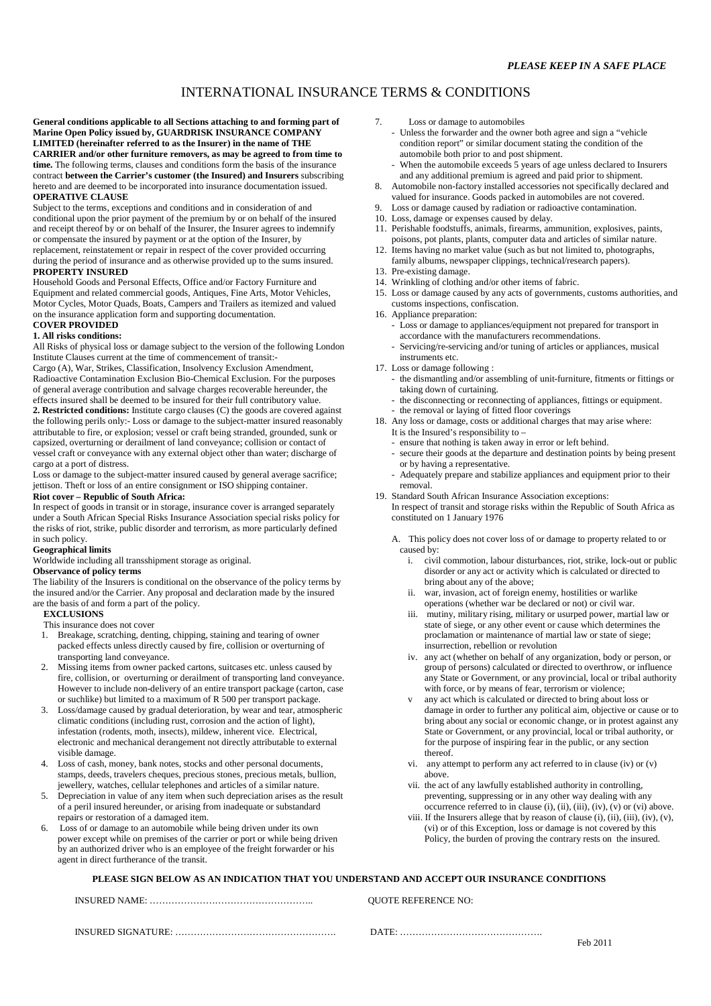# INTERNATIONAL INSURANCE TERMS & CONDITIONS

**General conditions applicable to all Sections attaching to and forming part of Marine Open Policy issued by, GUARDRISK INSURANCE COMPANY LIMITED (hereinafter referred to as the Insurer) in the name of THE CARRIER and/or other furniture removers, as may be agreed to from time to**  time. The following terms, clauses and conditions form the basis of the insurance contract **between the Carrier's customer (the Insured) and Insurers** subscribing hereto and are deemed to be incorporated into insurance documentation issued. **OPERATIVE CLAUSE** 

Subject to the terms, exceptions and conditions and in consideration of and conditional upon the prior payment of the premium by or on behalf of the insured and receipt thereof by or on behalf of the Insurer, the Insurer agrees to indemnify or compensate the insured by payment or at the option of the Insurer, by replacement, reinstatement or repair in respect of the cover provided occurring during the period of insurance and as otherwise provided up to the sums insured. **PROPERTY INSURED** 

Household Goods and Personal Effects, Office and/or Factory Furniture and Equipment and related commercial goods, Antiques, Fine Arts, Motor Vehicles, Motor Cycles, Motor Quads, Boats, Campers and Trailers as itemized and valued on the insurance application form and supporting documentation.

## **COVER PROVIDED**

**1. All risks conditions:** 

All Risks of physical loss or damage subject to the version of the following London Institute Clauses current at the time of commencement of transit:-

Cargo (A), War, Strikes, Classification, Insolvency Exclusion Amendment, Radioactive Contamination Exclusion Bio-Chemical Exclusion. For the purposes of general average contribution and salvage charges recoverable hereunder, the effects insured shall be deemed to be insured for their full contributory value. **2. Restricted conditions:** Institute cargo clauses (C) the goods are covered against the following perils only:- Loss or damage to the subject-matter insured reasonably attributable to fire, or explosion; vessel or craft being stranded, grounded, sunk or capsized, overturning or derailment of land conveyance; collision or contact of

vessel craft or conveyance with any external object other than water; discharge of cargo at a port of distress. Loss or damage to the subject-matter insured caused by general average sacrifice;

jettison. Theft or loss of an entire consignment or ISO shipping container.

## **Riot cover – Republic of South Africa:**

In respect of goods in transit or in storage, insurance cover is arranged separately under a South African Special Risks Insurance Association special risks policy for the risks of riot, strike, public disorder and terrorism, as more particularly defined in such policy.

#### **Geographical limits**

Worldwide including all transshipment storage as original.

### **Observance of policy terms**

The liability of the Insurers is conditional on the observance of the policy terms by the insured and/or the Carrier. Any proposal and declaration made by the insured are the basis of and form a part of the policy.

### **EXCLUSIONS**

This insurance does not cover

- 1. Breakage, scratching, denting, chipping, staining and tearing of owner packed effects unless directly caused by fire, collision or overturning of transporting land conveyance.
- 2. Missing items from owner packed cartons, suitcases etc. unless caused by fire, collision, or overturning or derailment of transporting land conveyance. However to include non-delivery of an entire transport package (carton, case or suchlike) but limited to a maximum of R 500 per transport package.
- 3. Loss/damage caused by gradual deterioration, by wear and tear, atmospheric climatic conditions (including rust, corrosion and the action of light), infestation (rodents, moth, insects), mildew, inherent vice. Electrical, electronic and mechanical derangement not directly attributable to external visible damage.
- 4. Loss of cash, money, bank notes, stocks and other personal documents, stamps, deeds, travelers cheques, precious stones, precious metals, bullion, jewellery, watches, cellular telephones and articles of a similar nature.
- 5. Depreciation in value of any item when such depreciation arises as the result of a peril insured hereunder, or arising from inadequate or substandard repairs or restoration of a damaged item.
- Loss of or damage to an automobile while being driven under its own power except while on premises of the carrier or port or while being driven by an authorized driver who is an employee of the freight forwarder or his agent in direct furtherance of the transit.
- 7. Loss or damage to automobiles
	- Unless the forwarder and the owner both agree and sign a "vehicle condition report" or similar document stating the condition of the automobile both prior to and post shipment.
- When the automobile exceeds 5 years of age unless declared to Insurers and any additional premium is agreed and paid prior to shipment.
- 8. Automobile non-factory installed accessories not specifically declared and valued for insurance. Goods packed in automobiles are not covered.
- 9. Loss or damage caused by radiation or radioactive contamination.
- 10. Loss, damage or expenses caused by delay.
- 11. Perishable foodstuffs, animals, firearms, ammunition, explosives, paints, poisons, pot plants, plants, computer data and articles of similar nature.
- 12. Items having no market value (such as but not limited to, photographs, family albums, newspaper clippings, technical/research papers).
- 13. Pre-existing damage.
- 14. Wrinkling of clothing and/or other items of fabric.
- 15. Loss or damage caused by any acts of governments, customs authorities, and customs inspections, confiscation.
- 16. Appliance preparation:
	- Loss or damage to appliances/equipment not prepared for transport in accordance with the manufacturers recommendations.
	- Servicing/re-servicing and/or tuning of articles or appliances, musical instruments etc.
- 17. Loss or damage following :
	- the dismantling and/or assembling of unit-furniture, fitments or fittings or taking down of curtaining.
	- the disconnecting or reconnecting of appliances, fittings or equipment.
	- the removal or laying of fitted floor coverings
- 18. Any loss or damage, costs or additional charges that may arise where:
	- It is the Insured's responsibility to –
	- ensure that nothing is taken away in error or left behind.
	- secure their goods at the departure and destination points by being present or by having a representative.
	- Adequately prepare and stabilize appliances and equipment prior to their removal.
- 19. Standard South African Insurance Association exceptions: In respect of transit and storage risks within the Republic of South Africa as constituted on 1 January 1976
	- A. This policy does not cover loss of or damage to property related to or caused by:
		- i. civil commotion, labour disturbances, riot, strike, lock-out or public disorder or any act or activity which is calculated or directed to bring about any of the above;
		- ii. war, invasion, act of foreign enemy, hostilities or warlike operations (whether war be declared or not) or civil war.
		- iii. mutiny, military rising, military or usurped power, martial law or state of siege, or any other event or cause which determines the proclamation or maintenance of martial law or state of siege; insurrection, rebellion or revolution
		- iv. any act (whether on behalf of any organization, body or person, or group of persons) calculated or directed to overthrow, or influence any State or Government, or any provincial, local or tribal authority with force, or by means of fear, terrorism or violence:
		- any act which is calculated or directed to bring about loss or damage in order to further any political aim, objective or cause or to bring about any social or economic change, or in protest against any State or Government, or any provincial, local or tribal authority, or for the purpose of inspiring fear in the public, or any section thereof.
		- vi. any attempt to perform any act referred to in clause (iv) or (v) above.
		- vii. the act of any lawfully established authority in controlling, preventing, suppressing or in any other way dealing with any occurrence referred to in clause  $(i)$ ,  $(ii)$ ,  $(iii)$ ,  $(iv)$ ,  $(v)$  or  $(vi)$  above.
		- viii. If the Insurers allege that by reason of clause (i), (ii), (iii), (iv), (v), (vi) or of this Exception, loss or damage is not covered by this Policy, the burden of proving the contrary rests on the insured.

### **PLEASE SIGN BELOW AS AN INDICATION THAT YOU UNDERSTAND AND ACCEPT OUR INSURANCE CONDITIONS**

| <b>OUOTE REFERENCE NO:</b> |
|----------------------------|
|                            |

INSURED SIGNATURE: ……………………………………………. DATE: ……………………………………….